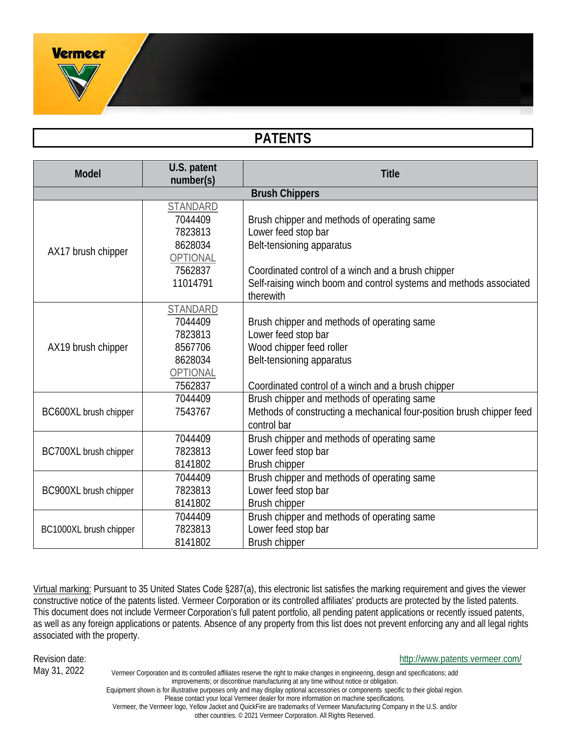# **PATENTS**

| <b>Model</b>           | U.S. patent<br>number(s) | <b>Title</b>                                                          |  |  |
|------------------------|--------------------------|-----------------------------------------------------------------------|--|--|
| <b>Brush Chippers</b>  |                          |                                                                       |  |  |
| STANDARD               |                          |                                                                       |  |  |
|                        | 7044409                  | Brush chipper and methods of operating same                           |  |  |
|                        | 7823813                  | Lower feed stop bar                                                   |  |  |
|                        | 8628034                  | Belt-tensioning apparatus                                             |  |  |
| AX17 brush chipper     | OPTIONAL                 |                                                                       |  |  |
|                        | 7562837                  | Coordinated control of a winch and a brush chipper                    |  |  |
|                        | 11014791                 | Self-raising winch boom and control systems and methods associated    |  |  |
|                        |                          | therewith                                                             |  |  |
|                        | <b>STANDARD</b>          |                                                                       |  |  |
|                        | 7044409                  | Brush chipper and methods of operating same                           |  |  |
|                        | 7823813                  | Lower feed stop bar                                                   |  |  |
| AX19 brush chipper     | 8567706                  | Wood chipper feed roller                                              |  |  |
|                        | 8628034                  | Belt-tensioning apparatus                                             |  |  |
|                        | OPTIONAL                 |                                                                       |  |  |
|                        | 7562837                  | Coordinated control of a winch and a brush chipper                    |  |  |
|                        | 7044409                  | Brush chipper and methods of operating same                           |  |  |
| BC600XL brush chipper  | 7543767                  | Methods of constructing a mechanical four-position brush chipper feed |  |  |
|                        |                          | control bar                                                           |  |  |
|                        | 7044409                  | Brush chipper and methods of operating same                           |  |  |
| BC700XL brush chipper  | 7823813                  | Lower feed stop bar                                                   |  |  |
|                        | 8141802                  | Brush chipper                                                         |  |  |
| BC900XL brush chipper  | 7044409                  | Brush chipper and methods of operating same                           |  |  |
|                        | 7823813                  | Lower feed stop bar                                                   |  |  |
|                        | 8141802                  | Brush chipper                                                         |  |  |
|                        | 7044409                  | Brush chipper and methods of operating same                           |  |  |
| BC1000XL brush chipper | 7823813                  | Lower feed stop bar                                                   |  |  |
|                        | 8141802                  | Brush chipper                                                         |  |  |

Virtual marking: Pursuant to 35 United States Code §287(a), this electronic list satisfies the marking requirement and gives the viewer constructive notice of the patents listed. Vermeer Corporation or its controlled affiliates' products are protected by the listed patents. This document does not include Vermeer Corporation's full patent portfolio, all pending patent applications or recently issued patents, as well as any foreign applications or patents. Absence of any property from this list does not prevent enforcing any and all legal rights associated with the property.

#### Revision date: http://www.patents.vermeer.com/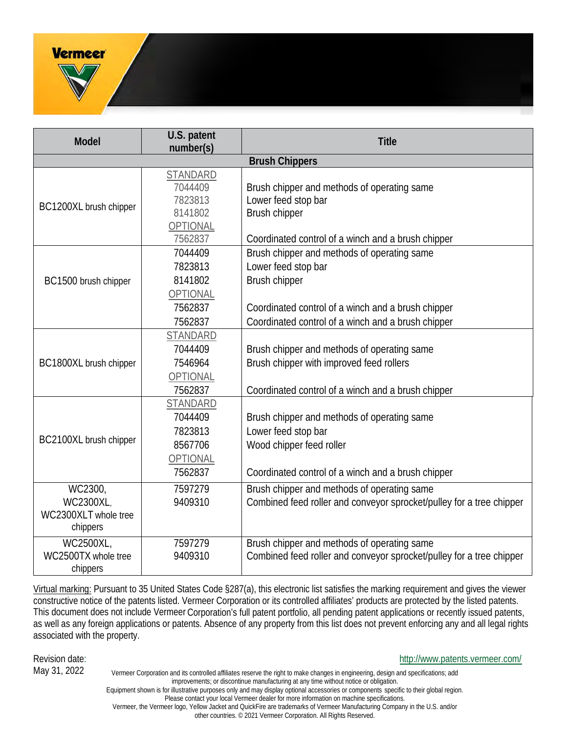| <b>Model</b>                                             | U.S. patent<br>number(s)                                                | <b>Title</b>                                                                                                                                         |
|----------------------------------------------------------|-------------------------------------------------------------------------|------------------------------------------------------------------------------------------------------------------------------------------------------|
|                                                          |                                                                         | <b>Brush Chippers</b>                                                                                                                                |
| BC1200XL brush chipper                                   | <b>STANDARD</b><br>7044409<br>7823813<br>8141802<br>OPTIONAL            | Brush chipper and methods of operating same<br>Lower feed stop bar<br>Brush chipper                                                                  |
|                                                          | 7562837                                                                 | Coordinated control of a winch and a brush chipper                                                                                                   |
| BC1500 brush chipper                                     | 7044409<br>7823813<br>8141802<br>OPTIONAL                               | Brush chipper and methods of operating same<br>Lower feed stop bar<br>Brush chipper                                                                  |
|                                                          | 7562837<br>7562837                                                      | Coordinated control of a winch and a brush chipper<br>Coordinated control of a winch and a brush chipper                                             |
| BC1800XL brush chipper                                   | STANDARD<br>7044409<br>7546964<br>OPTIONAL<br>7562837                   | Brush chipper and methods of operating same<br>Brush chipper with improved feed rollers<br>Coordinated control of a winch and a brush chipper        |
| BC2100XL brush chipper                                   | <b>STANDARD</b><br>7044409<br>7823813<br>8567706<br>OPTIONAL<br>7562837 | Brush chipper and methods of operating same<br>Lower feed stop bar<br>Wood chipper feed roller<br>Coordinated control of a winch and a brush chipper |
| WC2300,<br>WC2300XL,<br>WC2300XLT whole tree<br>chippers | 7597279<br>9409310                                                      | Brush chipper and methods of operating same<br>Combined feed roller and conveyor sprocket/pulley for a tree chipper                                  |
| WC2500XL,<br>WC2500TX whole tree<br>chippers             | 7597279<br>9409310                                                      | Brush chipper and methods of operating same<br>Combined feed roller and conveyor sprocket/pulley for a tree chipper                                  |

Virtual marking: Pursuant to 35 United States Code §287(a), this electronic list satisfies the marking requirement and gives the viewer constructive notice of the patents listed. Vermeer Corporation or its controlled affiliates' products are protected by the listed patents. This document does not include Vermeer Corporation's full patent portfolio, all pending patent applications or recently issued patents, as well as any foreign applications or patents. Absence of any property from this list does not prevent enforcing any and all legal rights associated with the property.

#### Revision date: http://www.patents.vermeer.com/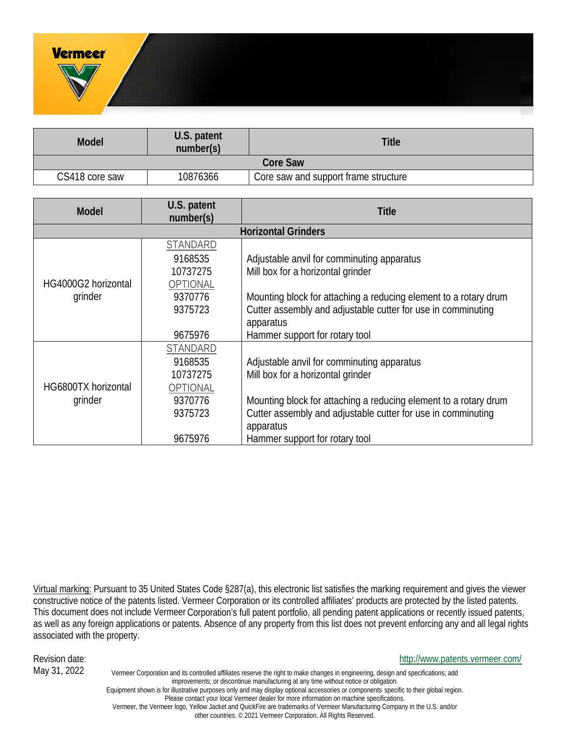| <b>Model</b>    | U.S. patent<br>number(s) | <b>Title</b>                         |
|-----------------|--------------------------|--------------------------------------|
| <b>Core Saw</b> |                          |                                      |
| CS418 core saw  | 10876366                 | Core saw and support frame structure |

| <b>Model</b>        | U.S. patent<br>number(s)   | <b>Title</b>                                                     |  |
|---------------------|----------------------------|------------------------------------------------------------------|--|
|                     | <b>Horizontal Grinders</b> |                                                                  |  |
|                     | <b>STANDARD</b>            |                                                                  |  |
|                     | 9168535                    | Adjustable anvil for comminuting apparatus                       |  |
|                     | 10737275                   | Mill box for a horizontal grinder                                |  |
| HG4000G2 horizontal | OPTIONAL                   |                                                                  |  |
| grinder             | 9370776                    | Mounting block for attaching a reducing element to a rotary drum |  |
|                     | 9375723                    | Cutter assembly and adjustable cutter for use in comminuting     |  |
|                     |                            | apparatus                                                        |  |
|                     | 9675976                    | Hammer support for rotary tool                                   |  |
|                     | STANDARD                   |                                                                  |  |
| HG6800TX horizontal | 9168535                    | Adjustable anvil for comminuting apparatus                       |  |
|                     | 10737275                   | Mill box for a horizontal grinder                                |  |
|                     | <b>OPTIONAL</b>            |                                                                  |  |
| grinder             | 9370776                    | Mounting block for attaching a reducing element to a rotary drum |  |
|                     | 9375723                    | Cutter assembly and adjustable cutter for use in comminuting     |  |
|                     |                            | apparatus                                                        |  |
|                     | 9675976                    | Hammer support for rotary tool                                   |  |

Virtual marking: Pursuant to 35 United States Code §287(a), this electronic list satisfies the marking requirement and gives the viewer constructive notice of the patents listed. Vermeer Corporation or its controlled affiliates' products are protected by the listed patents. This document does not include Vermeer Corporation's full patent portfolio, all pending patent applications or recently issued patents, as well as any foreign applications or patents. Absence of any property from this list does not prevent enforcing any and all legal rights associated with the property.

#### Revision date: http://www.patents.vermeer.com/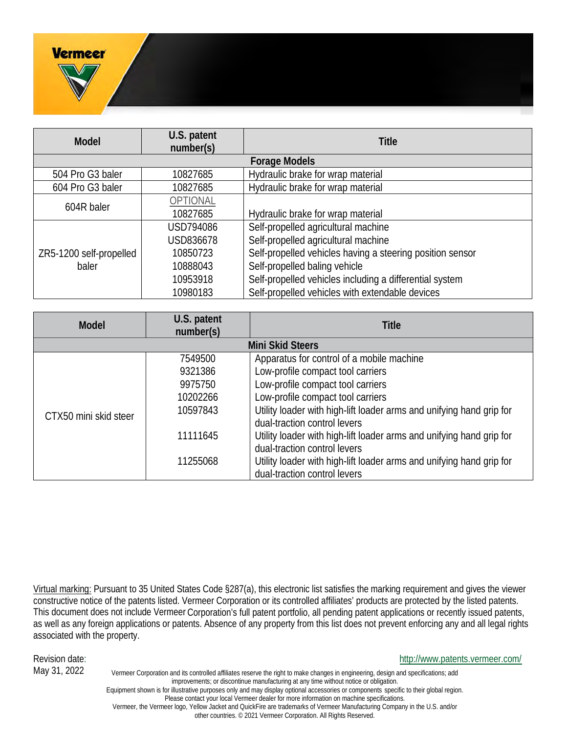

| <b>Model</b>            | U.S. patent<br>number(s) | <b>Title</b>                                                                                         |
|-------------------------|--------------------------|------------------------------------------------------------------------------------------------------|
| <b>Mini Skid Steers</b> |                          |                                                                                                      |
| CTX50 mini skid steer   | 7549500                  | Apparatus for control of a mobile machine                                                            |
|                         | 9321386                  | Low-profile compact tool carriers                                                                    |
|                         | 9975750                  | Low-profile compact tool carriers                                                                    |
|                         | 10202266                 | Low-profile compact tool carriers                                                                    |
|                         | 10597843                 | Utility loader with high-lift loader arms and unifying hand grip for<br>dual-traction control levers |
|                         |                          |                                                                                                      |
|                         | 11111645                 | Utility loader with high-lift loader arms and unifying hand grip for<br>dual-traction control levers |
|                         | 11255068                 | Utility loader with high-lift loader arms and unifying hand grip for<br>dual-traction control levers |

Virtual marking: Pursuant to 35 United States Code §287(a), this electronic list satisfies the marking requirement and gives the viewer constructive notice of the patents listed. Vermeer Corporation or its controlled affiliates' products are protected by the listed patents. This document does not include Vermeer Corporation's full patent portfolio, all pending patent applications or recently issued patents, as well as any foreign applications or patents. Absence of any property from this list does not prevent enforcing any and all legal rights associated with the property.

#### Revision date: http://www.patents.vermeer.com/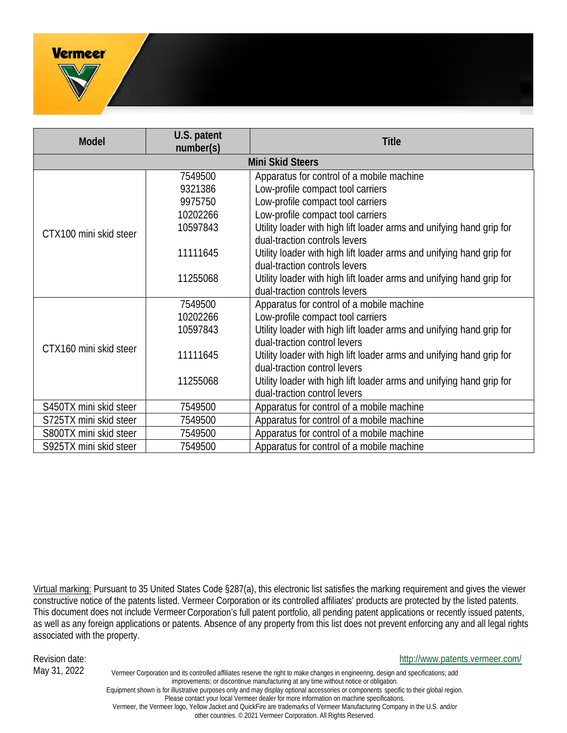

Virtual marking: Pursuant to 35 United States Code §287(a), this electronic list satisfies the marking requirement and gives the viewer constructive notice of the patents listed. Vermeer Corporation or its controlled affiliates' products are protected by the listed patents. This document does not include Vermeer Corporation's full patent portfolio, all pending patent applications or recently issued patents, as well as any foreign applications or patents. Absence of any property from this list does not prevent enforcing any and all legal rights associated with the property.

#### Revision date: http://www.patents.vermeer.com/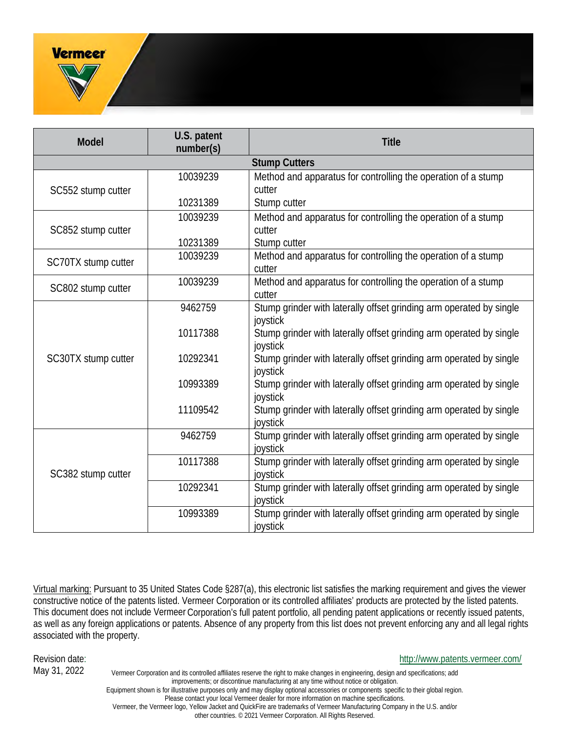| <b>Model</b>        | U.S. patent<br>number(s) | <b>Title</b>                                                                    |
|---------------------|--------------------------|---------------------------------------------------------------------------------|
|                     |                          | <b>Stump Cutters</b>                                                            |
|                     | 10039239                 | Method and apparatus for controlling the operation of a stump                   |
| SC552 stump cutter  |                          | cutter                                                                          |
|                     | 10231389                 | Stump cutter                                                                    |
|                     | 10039239                 | Method and apparatus for controlling the operation of a stump                   |
| SC852 stump cutter  |                          | cutter                                                                          |
|                     | 10231389                 | Stump cutter                                                                    |
| SC70TX stump cutter | 10039239                 | Method and apparatus for controlling the operation of a stump                   |
|                     |                          | cutter                                                                          |
| SC802 stump cutter  | 10039239                 | Method and apparatus for controlling the operation of a stump                   |
|                     |                          | cutter                                                                          |
|                     | 9462759                  | Stump grinder with laterally offset grinding arm operated by single             |
|                     |                          | joystick                                                                        |
|                     | 10117388                 | Stump grinder with laterally offset grinding arm operated by single             |
|                     |                          | joystick                                                                        |
| SC30TX stump cutter | 10292341                 | Stump grinder with laterally offset grinding arm operated by single             |
|                     | 10993389                 | joystick<br>Stump grinder with laterally offset grinding arm operated by single |
|                     |                          | joystick                                                                        |
|                     | 11109542                 | Stump grinder with laterally offset grinding arm operated by single             |
|                     |                          | joystick                                                                        |
| SC382 stump cutter  | 9462759                  | Stump grinder with laterally offset grinding arm operated by single             |
|                     |                          | joystick                                                                        |
|                     | 10117388                 | Stump grinder with laterally offset grinding arm operated by single             |
|                     |                          | joystick                                                                        |
|                     | 10292341                 | Stump grinder with laterally offset grinding arm operated by single             |
|                     |                          | joystick                                                                        |
|                     | 10993389                 | Stump grinder with laterally offset grinding arm operated by single             |
|                     |                          | joystick                                                                        |

Virtual marking: Pursuant to 35 United States Code §287(a), this electronic list satisfies the marking requirement and gives the viewer constructive notice of the patents listed. Vermeer Corporation or its controlled affiliates' products are protected by the listed patents. This document does not include Vermeer Corporation's full patent portfolio, all pending patent applications or recently issued patents, as well as any foreign applications or patents. Absence of any property from this list does not prevent enforcing any and all legal rights associated with the property.

#### Revision date: http://www.patents.vermeer.com/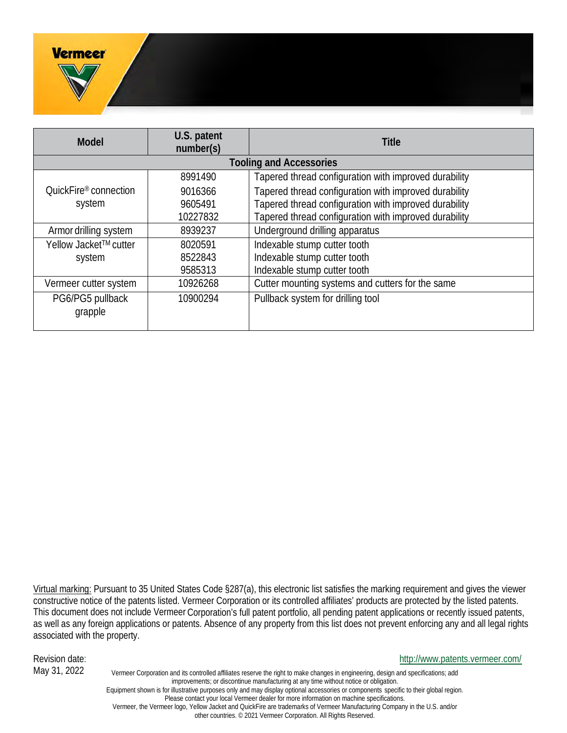

Virtual marking: Pursuant to 35 United States Code §287(a), this electronic list satisfies the marking requirement and gives the viewer constructive notice of the patents listed. Vermeer Corporation or its controlled affiliates' products are protected by the listed patents. This document does not include Vermeer Corporation's full patent portfolio, all pending patent applications or recently issued patents, as well as any foreign applications or patents. Absence of any property from this list does not prevent enforcing any and all legal rights associated with the property.

Revision date: http://www.patents.vermeer.com/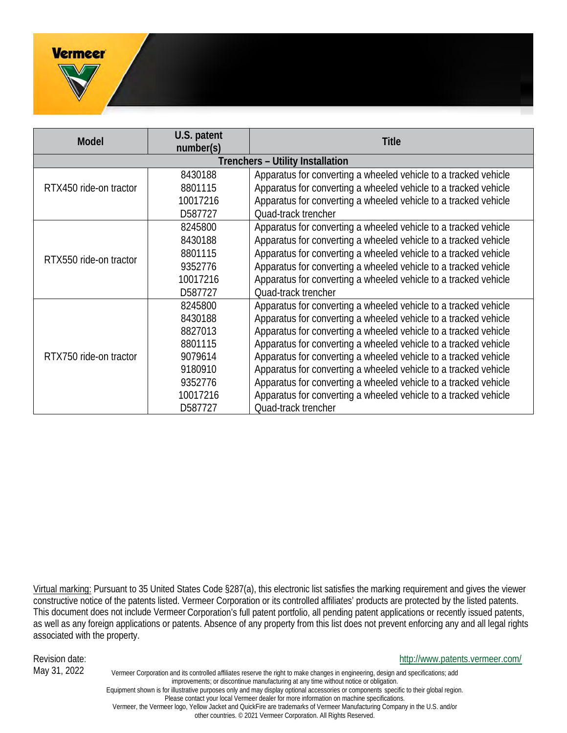

Virtual marking: Pursuant to 35 United States Code §287(a), this electronic list satisfies the marking requirement and gives the viewer constructive notice of the patents listed. Vermeer Corporation or its controlled affiliates' products are protected by the listed patents. This document does not include Vermeer Corporation's full patent portfolio, all pending patent applications or recently issued patents, as well as any foreign applications or patents. Absence of any property from this list does not prevent enforcing any and all legal rights associated with the property.

Revision date: http://www.patents.vermeer.com/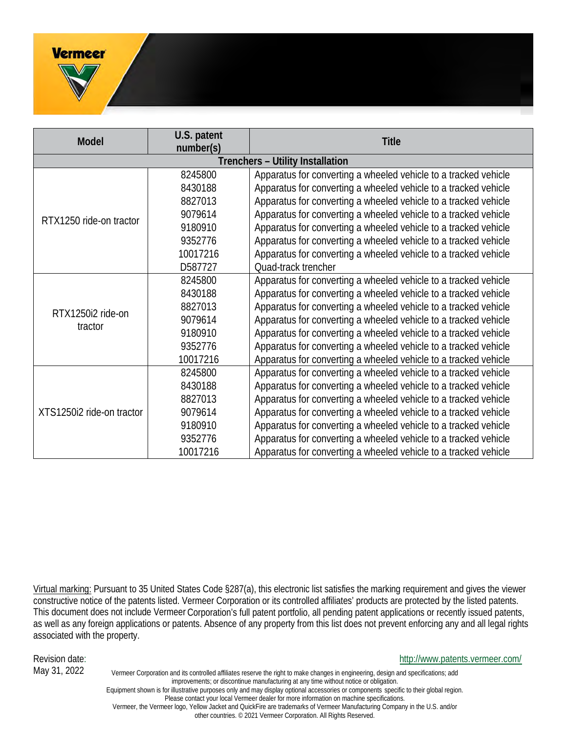

Virtual marking: Pursuant to 35 United States Code §287(a), this electronic list satisfies the marking requirement and gives the viewer constructive notice of the patents listed. Vermeer Corporation or its controlled affiliates' products are protected by the listed patents. This document does not include Vermeer Corporation's full patent portfolio, all pending patent applications or recently issued patents, as well as any foreign applications or patents. Absence of any property from this list does not prevent enforcing any and all legal rights associated with the property.

#### Revision date: http://www.patents.vermeer.com/